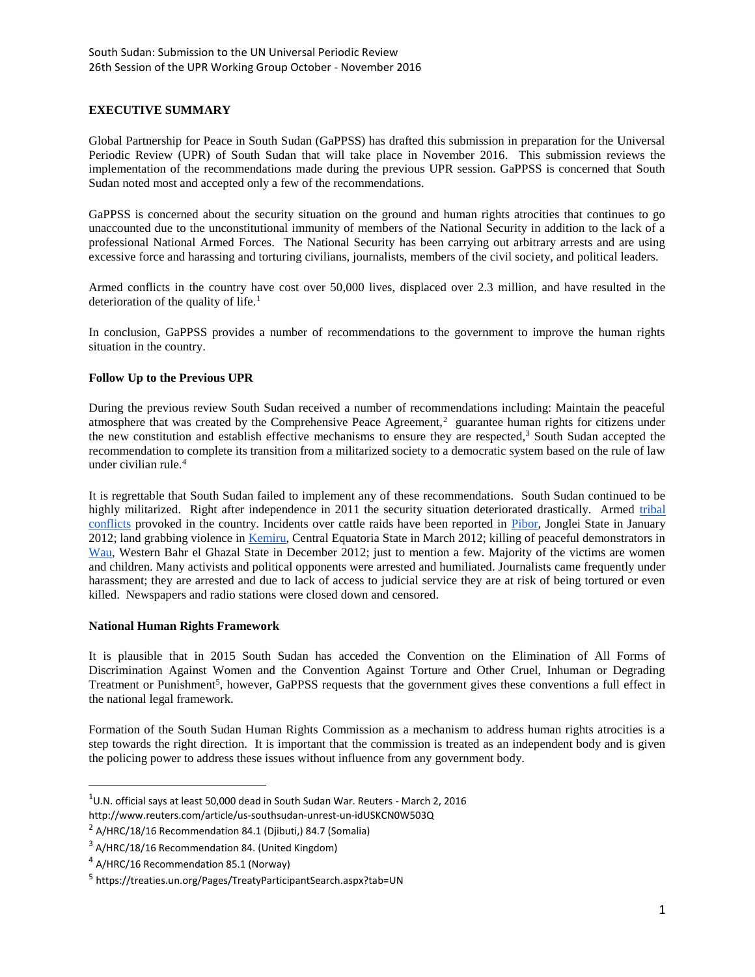## **EXECUTIVE SUMMARY**

Global Partnership for Peace in South Sudan (GaPPSS) has drafted this submission in preparation for the Universal Periodic Review (UPR) of South Sudan that will take place in November 2016. This submission reviews the implementation of the recommendations made during the previous UPR session. GaPPSS is concerned that South Sudan noted most and accepted only a few of the recommendations.

GaPPSS is concerned about the security situation on the ground and human rights atrocities that continues to go unaccounted due to the unconstitutional immunity of members of the National Security in addition to the lack of a professional National Armed Forces. The National Security has been carrying out arbitrary arrests and are using excessive force and harassing and torturing civilians, journalists, members of the civil society, and political leaders.

Armed conflicts in the country have cost over 50,000 lives, displaced over 2.3 million, and have resulted in the deterioration of the quality of life.<sup>1</sup>

In conclusion, GaPPSS provides a number of recommendations to the government to improve the human rights situation in the country.

### **Follow Up to the Previous UPR**

During the previous review South Sudan received a number of recommendations including: Maintain the peaceful atmosphere that was created by the Comprehensive Peace Agreement,<sup>2</sup> guarantee human rights for citizens under the new constitution and establish effective mechanisms to ensure they are respected,<sup>3</sup> South Sudan accepted the recommendation to complete its transition from a militarized society to a democratic system based on the rule of law under civilian rule.<sup>4</sup>

It is regrettable that South Sudan failed to implement any of these recommendations. South Sudan continued to be highly militarized. Right after independence in 2011 the security situation deteriorated drastically. Armed tribal [conflicts](https://en.wikipedia.org/wiki/Ethnic_violence_in_South_Sudan_(2011%E2%80%93present)) provoked in the country. Incidents over cattle raids have been reported in [Pibor,](http://www.globalpost.com/dispatch/news/regions/africa/120106/3000-dead-south-sudan-pibor-county-ethnic-massacre) Jonglei State in January 2012; land grabbing violence i[n Kemiru,](https://unmiss.unmissions.org/LinkClick.aspx?fileticket=XiI0HxWNZDQ%3D&tabid=3540&language=en-US) Central Equatoria State in March 2012; killing of peaceful demonstrators in [Wau,](http://www.sudantribune.com/spip.php?mot2463) Western Bahr el Ghazal State in December 2012; just to mention a few. Majority of the victims are women and children. Many activists and political opponents were arrested and humiliated. Journalists came frequently under harassment; they are arrested and due to lack of access to judicial service they are at risk of being tortured or even killed. Newspapers and radio stations were closed down and censored.

#### **National Human Rights Framework**

It is plausible that in 2015 South Sudan has acceded the Convention on the Elimination of All Forms of Discrimination Against Women and the Convention Against Torture and Other Cruel, Inhuman or Degrading Treatment or Punishment<sup>5</sup>, however, GaPPSS requests that the government gives these conventions a full effect in the national legal framework.

Formation of the South Sudan Human Rights Commission as a mechanism to address human rights atrocities is a step towards the right direction. It is important that the commission is treated as an independent body and is given the policing power to address these issues without influence from any government body.

 $\overline{\phantom{a}}$ 

 $1$ U.N. official says at least 50,000 dead in South Sudan War. Reuters - March 2, 2016

http://www.reuters.com/article/us-southsudan-unrest-un-idUSKCN0W503Q

<sup>&</sup>lt;sup>2</sup> A/HRC/18/16 Recommendation 84.1 (Djibuti,) 84.7 (Somalia)

<sup>&</sup>lt;sup>3</sup> A/HRC/18/16 Recommendation 84. (United Kingdom)

<sup>&</sup>lt;sup>4</sup> A/HRC/16 Recommendation 85.1 (Norway)

<sup>&</sup>lt;sup>5</sup> https://treaties.un.org/Pages/TreatyParticipantSearch.aspx?tab=UN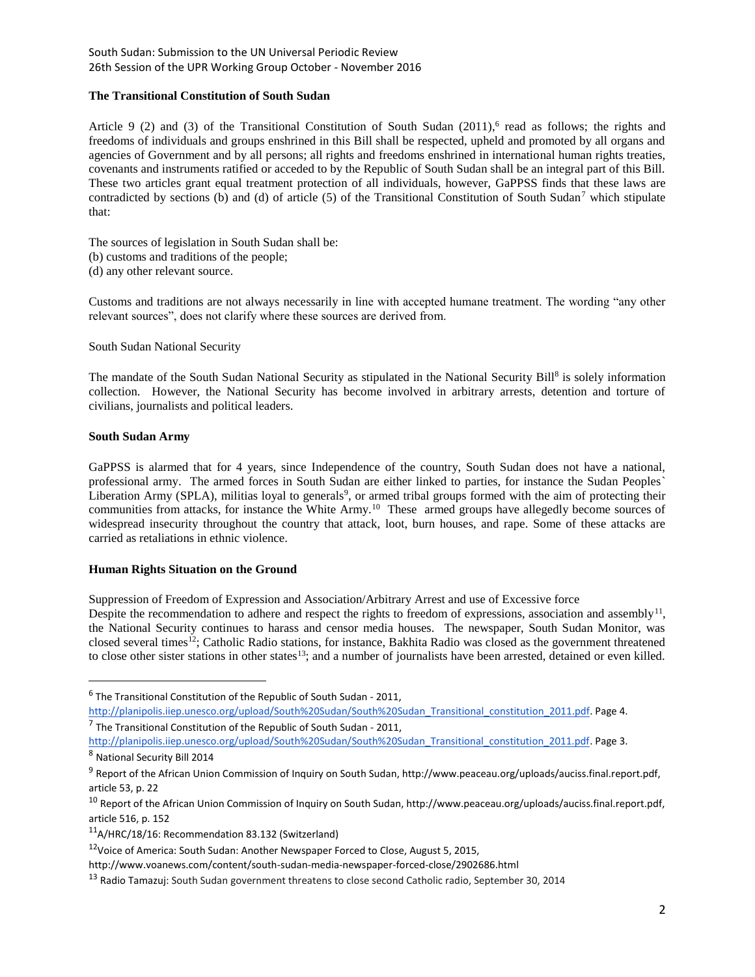## South Sudan: Submission to the UN Universal Periodic Review 26th Session of the UPR Working Group October - November 2016

## **The Transitional Constitution of South Sudan**

Article 9 (2) and (3) of the Transitional Constitution of South Sudan  $(2011)$ , read as follows; the rights and freedoms of individuals and groups enshrined in this Bill shall be respected, upheld and promoted by all organs and agencies of Government and by all persons; all rights and freedoms enshrined in international human rights treaties, covenants and instruments ratified or acceded to by the Republic of South Sudan shall be an integral part of this Bill. These two articles grant equal treatment protection of all individuals, however, GaPPSS finds that these laws are contradicted by sections (b) and (d) of article (5) of the Transitional Constitution of South Sudan<sup>7</sup> which stipulate that:

The sources of legislation in South Sudan shall be:

- (b) customs and traditions of the people;
- (d) any other relevant source.

Customs and traditions are not always necessarily in line with accepted humane treatment. The wording "any other relevant sources", does not clarify where these sources are derived from.

South Sudan National Security

The mandate of the South Sudan National Security as stipulated in the National Security Bill<sup>8</sup> is solely information collection. However, the National Security has become involved in arbitrary arrests, detention and torture of civilians, journalists and political leaders.

# **South Sudan Army**

GaPPSS is alarmed that for 4 years, since Independence of the country, South Sudan does not have a national, professional army. The armed forces in South Sudan are either linked to parties, for instance the Sudan Peoples` Liberation Army (SPLA), militias loyal to generals<sup>9</sup>, or armed tribal groups formed with the aim of protecting their communities from attacks, for instance the White Army.<sup>10</sup> These armed groups have allegedly become sources of widespread insecurity throughout the country that attack, loot, burn houses, and rape. Some of these attacks are carried as retaliations in ethnic violence.

## **Human Rights Situation on the Ground**

Suppression of Freedom of Expression and Association/Arbitrary Arrest and use of Excessive force

Despite the recommendation to adhere and respect the rights to freedom of expressions, association and assembly<sup>11</sup>, the National Security continues to harass and censor media houses. The newspaper, South Sudan Monitor, was closed several times<sup>12</sup>; Catholic Radio stations, for instance, Bakhita Radio was closed as the government threatened to close other sister stations in other states $13$ ; and a number of journalists have been arrested, detained or even killed.

l

 $^6$  The Transitional Constitution of the Republic of South Sudan - 2011,

[http://planipolis.iiep.unesco.org/upload/South%20Sudan/South%20Sudan\\_Transitional\\_constitution\\_2011.pdf.](http://planipolis.iiep.unesco.org/upload/South%20Sudan/South%20Sudan_Transitional_constitution_2011.pdf) Page 4.  $<sup>7</sup>$  The Transitional Constitution of the Republic of South Sudan - 2011,</sup>

[http://planipolis.iiep.unesco.org/upload/South%20Sudan/South%20Sudan\\_Transitional\\_constitution\\_2011.pdf.](http://planipolis.iiep.unesco.org/upload/South%20Sudan/South%20Sudan_Transitional_constitution_2011.pdf) Page 3. <sup>8</sup> National Security Bill 2014

<sup>&</sup>lt;sup>9</sup> Report of the African Union Commission of Inquiry on South Sudan, http://www.peaceau.org/uploads/auciss.final.report.pdf, article 53, p. 22

<sup>&</sup>lt;sup>10</sup> Report of the African Union Commission of Inquiry on South Sudan, http://www.peaceau.org/uploads/auciss.final.report.pdf, article 516, p. 152

<sup>11</sup>A/HRC/18/16: Recommendation 83.132 (Switzerland)

<sup>12</sup>Voice of America: South Sudan: Another Newspaper Forced to Close, August 5, 2015,

http://www.voanews.com/content/south-sudan-media-newspaper-forced-close/2902686.html

<sup>&</sup>lt;sup>13</sup> Radio Tamazuj: South Sudan government threatens to close second Catholic radio, September 30, 2014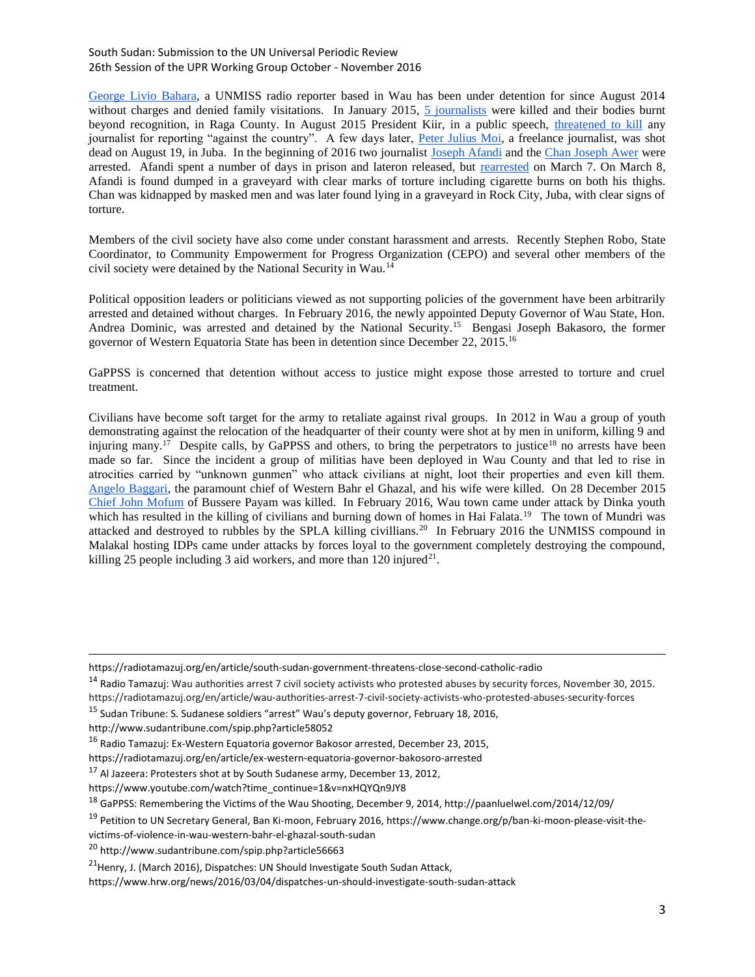### South Sudan: Submission to the UN Universal Periodic Review 26th Session of the UPR Working Group October - November 2016

[George Livio Bahara,](https://radiotamazuj.org/en/article/father-detained-un-journalist-plans-meet-president-kiir) a UNMISS radio reporter based in Wau has been under detention for since August 2014 without charges and denied family visitations. In January 2015, [5 journalists](https://cpj.org/2015/01/five-journalists-killed-when-gunmen-ambush-convoy-.php) were killed and their bodies burnt beyond recognition, in Raga County. In August 2015 President Kiir, in a public speech, [threatened to kill](https://cpj.org/2015/08/south-sudanese-president-salva-kiir-threatens-to-k.php) any journalist for reporting "against the country". A few days later, [Peter Julius Moi,](https://cpj.org/blog/2015/09/shooting-of-freelance-reporter-increases-fear-for-.php) a freelance journalist, was shot dead on August 19, in Juba. In the beginning of 2016 two journalist [Joseph Afandi](https://cpj.org/2016/01/south-sudan-arrests-journalist-newspaper-ceases-pu.php) and the [Chan Joseph Awer](https://radiotamazuj.org/en/article/writer-allegedly-kidnapped-and-later-released-juba-cemetery) were arrested. Afandi spent a number of days in prison and lateron released, but [rearrested](https://radiotamazuj.org/en/article/cepo-concerned-safety-journalist-joseph-afendi) on March 7. On March 8, Afandi is found dumped in a graveyard with clear marks of torture including cigarette burns on both his thighs. Chan was kidnapped by masked men and was later found lying in a graveyard in Rock City, Juba, with clear signs of torture.

Members of the civil society have also come under constant harassment and arrests. Recently Stephen Robo, State Coordinator, to Community Empowerment for Progress Organization (CEPO) and several other members of the civil society were detained by the National Security in Wau.<sup>14</sup>

Political opposition leaders or politicians viewed as not supporting policies of the government have been arbitrarily arrested and detained without charges. In February 2016, the newly appointed Deputy Governor of Wau State, Hon. Andrea Dominic, was arrested and detained by the National Security.<sup>15</sup> Bengasi Joseph Bakasoro, the former governor of Western Equatoria State has been in detention since December 22, 2015.<sup>16</sup>

GaPPSS is concerned that detention without access to justice might expose those arrested to torture and cruel treatment.

Civilians have become soft target for the army to retaliate against rival groups. In 2012 in Wau a group of youth demonstrating against the relocation of the headquarter of their county were shot at by men in uniform, killing 9 and injuring many.<sup>17</sup> Despite calls, by GaPPSS and others, to bring the perpetrators to justice<sup>18</sup> no arrests have been made so far. Since the incident a group of militias have been deployed in Wau County and that led to rise in atrocities carried by "unknown gunmen" who attack civilians at night, loot their properties and even kill them. [Angelo Baggari,](http://www.bakhitaradio.org/?q=node/6951) the paramount chief of Western Bahr el Ghazal, and his wife were killed. On 28 December 2015 [Chief John Mofum](http://www.sudantribune.com/spip.php?article57540) of Bussere Payam was killed. In February 2016, Wau town came under attack by Dinka youth which has resulted in the killing of civilians and burning down of homes in Hai Falata.<sup>19</sup> The town of Mundri was attacked and destroyed to rubbles by the SPLA killing civillians.<sup>20</sup> In February 2016 the UNMISS compound in Malakal hosting IDPs came under attacks by forces loyal to the government completely destroying the compound, killing 25 people including 3 aid workers, and more than  $120$  injured<sup>21</sup>.

 $\overline{\phantom{a}}$ 

<sup>17</sup> Al Jazeera: Protesters shot at by South Sudanese army, December 13, 2012,

https://www.youtube.com/watch?time\_continue=1&v=nxHQYQn9JY8

https://radiotamazuj.org/en/article/south-sudan-government-threatens-close-second-catholic-radio

<sup>&</sup>lt;sup>14</sup> Radio Tamazuj: Wau authorities arrest 7 civil society activists who protested abuses by security forces, November 30, 2015. https://radiotamazuj.org/en/article/wau-authorities-arrest-7-civil-society-activists-who-protested-abuses-security-forces

<sup>15</sup> Sudan Tribune: S. Sudanese soldiers "arrest" Wau's deputy governor, February 18, 2016,

http://www.sudantribune.com/spip.php?article58052

<sup>16</sup> Radio Tamazuj: Ex-Western Equatoria governor Bakosor arrested, December 23, 2015,

https://radiotamazuj.org/en/article/ex-western-equatoria-governor-bakosoro-arrested

<sup>18</sup> GaPPSS: Remembering the Victims of the Wau Shooting, December 9, 2014, http://paanluelwel.com/2014/12/09/

<sup>&</sup>lt;sup>19</sup> Petition to UN Secretary General, Ban Ki-moon, February 2016, https://www.change.org/p/ban-ki-moon-please-visit-the-

victims-of-violence-in-wau-western-bahr-el-ghazal-south-sudan

<sup>20</sup> http://www.sudantribune.com/spip.php?article56663

<sup>&</sup>lt;sup>21</sup> Henry, J. (March 2016), Dispatches: UN Should Investigate South Sudan Attack,

https://www.hrw.org/news/2016/03/04/dispatches-un-should-investigate-south-sudan-attack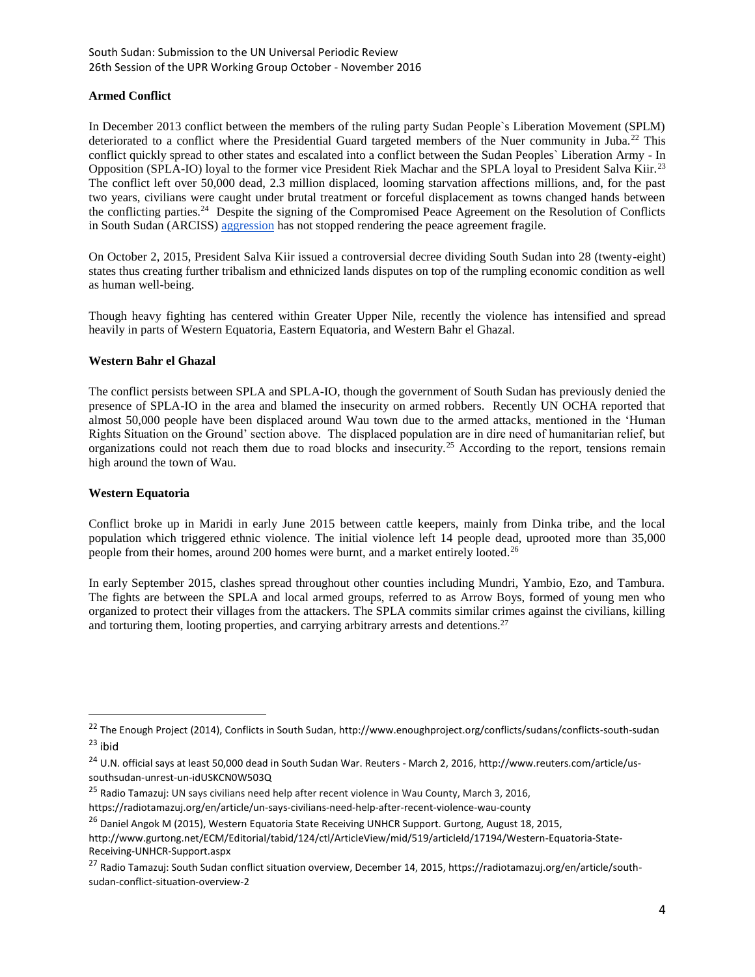### **Armed Conflict**

In December 2013 conflict between the members of the ruling party Sudan People`s Liberation Movement (SPLM) deteriorated to a conflict where the Presidential Guard targeted members of the Nuer community in Juba.<sup>22</sup> This conflict quickly spread to other states and escalated into a conflict between the Sudan Peoples` Liberation Army - In Opposition (SPLA-IO) loyal to the former vice President Riek Machar and the SPLA loyal to President Salva Kiir.<sup>23</sup> The conflict left over 50,000 dead, 2.3 million displaced, looming starvation affections millions, and, for the past two years, civilians were caught under brutal treatment or forceful displacement as towns changed hands between the conflicting parties.<sup>24</sup> Despite the signing of the Compromised Peace Agreement on the Resolution of Conflicts in South Sudan (ARCISS) [aggression](http://www.sudantribune.com/spip.php?article56272) has not stopped rendering the peace agreement fragile.

On October 2, 2015, President Salva Kiir issued a controversial decree dividing South Sudan into 28 (twenty-eight) states thus creating further tribalism and ethnicized lands disputes on top of the rumpling economic condition as well as human well-being.

Though heavy fighting has centered within Greater Upper Nile, recently the violence has intensified and spread heavily in parts of Western Equatoria, Eastern Equatoria, and Western Bahr el Ghazal.

### **Western Bahr el Ghazal**

The conflict persists between SPLA and SPLA-IO, though the government of South Sudan has previously denied the presence of SPLA-IO in the area and blamed the insecurity on armed robbers. Recently UN OCHA reported that almost 50,000 people have been displaced around Wau town due to the armed attacks, mentioned in the 'Human Rights Situation on the Ground' section above. The displaced population are in dire need of humanitarian relief, but organizations could not reach them due to road blocks and insecurity.<sup>25</sup> According to the report, tensions remain high around the town of Wau.

#### **Western Equatoria**

 $\overline{\phantom{a}}$ 

Conflict broke up in Maridi in early June 2015 between cattle keepers, mainly from Dinka tribe, and the local population which triggered ethnic violence. The initial violence left 14 people dead, uprooted more than 35,000 people from their homes, around 200 homes were burnt, and a market entirely looted.<sup>26</sup>

In early September 2015, clashes spread throughout other counties including Mundri, Yambio, Ezo, and Tambura. The fights are between the SPLA and local armed groups, referred to as Arrow Boys, formed of young men who organized to protect their villages from the attackers. The SPLA commits similar crimes against the civilians, killing and torturing them, looting properties, and carrying arbitrary arrests and detentions.<sup>27</sup>

<sup>&</sup>lt;sup>22</sup> The Enough Project (2014), Conflicts in South Sudan, http://www.enoughproject.org/conflicts/sudans/conflicts-south-sudan  $23$  ibid

<sup>&</sup>lt;sup>24</sup> U.N. official says at least 50,000 dead in South Sudan War. Reuters - March 2, 2016, http://www.reuters.com/article/ussouthsudan-unrest-un-idUSKCN0W503Q

<sup>&</sup>lt;sup>25</sup> Radio Tamazuj: UN says civilians need help after recent violence in Wau County, March 3, 2016, https://radiotamazuj.org/en/article/un-says-civilians-need-help-after-recent-violence-wau-county

<sup>&</sup>lt;sup>26</sup> Daniel Angok M (2015), Western Equatoria State Receiving UNHCR Support. Gurtong, August 18, 2015,

http://www.gurtong.net/ECM/Editorial/tabid/124/ctl/ArticleView/mid/519/articleId/17194/Western-Equatoria-State-Receiving-UNHCR-Support.aspx

<sup>&</sup>lt;sup>27</sup> Radio Tamazui: South Sudan conflict situation overview, December 14, 2015, https://radiotamazuj.org/en/article/southsudan-conflict-situation-overview-2